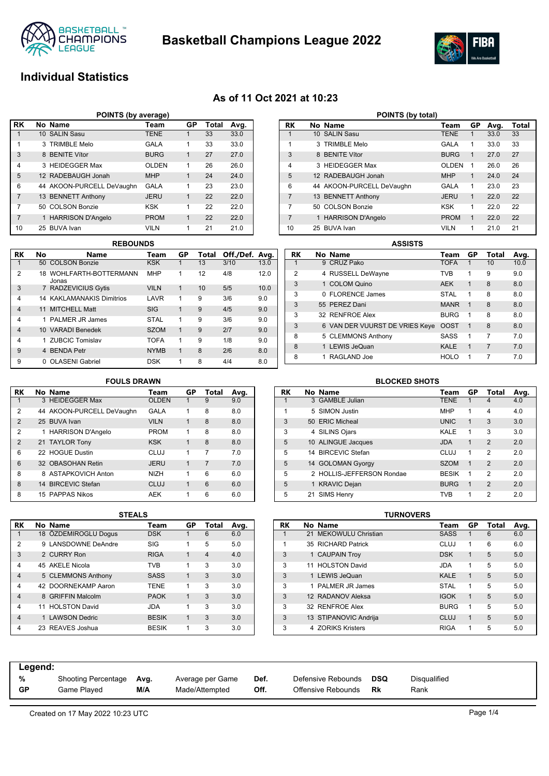



### **Individual Statistics**

### **As of 11 Oct 2021 at 10:23**

| POINTS (by average) |                                        |                           |              |   |    |      |  |  |  |  |  |  |  |
|---------------------|----------------------------------------|---------------------------|--------------|---|----|------|--|--|--|--|--|--|--|
| <b>RK</b>           | No Name<br>GP<br>Total<br>Avg.<br>Team |                           |              |   |    |      |  |  |  |  |  |  |  |
|                     |                                        | 10 SALIN Sasu             | <b>TENE</b>  |   | 33 | 33.0 |  |  |  |  |  |  |  |
| 1                   |                                        | 3 TRIMBLE Melo            | <b>GALA</b>  | 1 | 33 | 33.0 |  |  |  |  |  |  |  |
| 3                   |                                        | 8 BENITE Vítor            | <b>BURG</b>  | 1 | 27 | 27.0 |  |  |  |  |  |  |  |
| $\overline{4}$      |                                        | 3 HEIDEGGER Max           | <b>OLDEN</b> | 1 | 26 | 26.0 |  |  |  |  |  |  |  |
| 5                   |                                        | 12 RADEBAUGH Jonah        | <b>MHP</b>   | 1 | 24 | 24.0 |  |  |  |  |  |  |  |
| 6                   |                                        | 44 AKOON-PURCELL DeVaughn | <b>GALA</b>  | 1 | 23 | 23.0 |  |  |  |  |  |  |  |
| 7                   |                                        | 13 BENNETT Anthony        | <b>JERU</b>  | 1 | 22 | 22.0 |  |  |  |  |  |  |  |
| 7                   |                                        | 50 COLSON Bonzie          | KSK          | 1 | 22 | 22.0 |  |  |  |  |  |  |  |
| $\overline{7}$      |                                        | 1 HARRISON D'Angelo       | <b>PROM</b>  |   | 22 | 22.0 |  |  |  |  |  |  |  |
| 10                  |                                        | 25 BUVA Ivan              | <b>VILN</b>  | 1 | 21 | 21.0 |  |  |  |  |  |  |  |

| $\overline{7}$ |    | 50 COLSON Bonzie                 | <b>KSK</b>  | 1            | 22           | 22.0           |      | 7              | 50                       |
|----------------|----|----------------------------------|-------------|--------------|--------------|----------------|------|----------------|--------------------------|
| $\overline{7}$ |    | 1 HARRISON D'Angelo              | <b>PROM</b> | $\mathbf{1}$ | 22           | 22.0           |      | $\overline{7}$ | 1                        |
| 10             |    | 25 BUVA Ivan                     | <b>VILN</b> | 1            | 21           | 21.0           |      | 10             | 25                       |
|                |    | <b>REBOUNDS</b>                  |             |              |              |                |      |                |                          |
| RK             | No | <b>Name</b>                      | Team        | GP           | Total        | Off./Def. Avg. |      | <b>RK</b>      | Nc                       |
| $\mathbf{1}$   |    | 50 COLSON Bonzie                 | <b>KSK</b>  | 1            | 13           | 3/10           | 13.0 |                |                          |
| $\overline{2}$ |    | 18 WOHLFARTH-BOTTERMANN<br>Jonas | <b>MHP</b>  | $\mathbf{1}$ | 12           | 4/8            | 12.0 | $\overline{2}$ | $\overline{\phantom{a}}$ |
| 3              |    | 7 RADZEVICIUS Gytis              | <b>VILN</b> | 1            | 10           | 5/5            | 10.0 | 3              |                          |
| 4              |    | <b>14 KAKLAMANAKIS Dimitrios</b> | LAVR        | 1            | 9            | 3/6            | 9.0  | 3              |                          |
| $\overline{4}$ |    | 11 MITCHELL Matt                 | <b>SIG</b>  | 1            | $\mathbf{Q}$ | 4/5            | 9.0  | 3              | 55                       |
| 4              | 1  | PALMER JR James                  | <b>STAL</b> | 1            | 9            | 3/6            | 9.0  | 3              | 32                       |
| $\overline{4}$ |    | 10 VARADI Benedek                | <b>SZOM</b> | 1            | 9            | 2/7            | 9.0  | 3              | $\epsilon$               |
|                |    |                                  |             |              |              |                |      | 8              | ξ                        |
| 4              |    | 1 ZUBCIC Tomislav                | <b>TOFA</b> | 1            | 9            | 1/8            | 9.0  |                |                          |

|                |   | POINTS (by total)         |              |    |      |       |
|----------------|---|---------------------------|--------------|----|------|-------|
| RK             |   | No Name                   | Team         | GP | Avg. | Total |
| 1              |   | 10 SALIN Sasu             | <b>TENE</b>  | 1  | 33.0 | 33    |
| 1              | 3 | <b>TRIMBLE Melo</b>       | GALA         | 1  | 33.0 | 33    |
| 3              |   | 8 BENITE Vítor            | <b>BURG</b>  | 1  | 27.0 | 27    |
| 4              |   | 3 HEIDEGGER Max           | <b>OLDEN</b> | 1  | 26.0 | 26    |
| 5              |   | 12 RADEBAUGH Jonah        | <b>MHP</b>   | 1  | 24.0 | 24    |
| 6              |   | 44 AKOON-PURCELL DeVaughn | GALA         | 1  | 23.0 | 23    |
| $\overline{7}$ |   | 13 BENNETT Anthony        | <b>JERU</b>  | 1  | 22.0 | 22    |
| 7              |   | 50 COLSON Bonzie          | <b>KSK</b>   | 1  | 22.0 | 22    |
| 7              |   | 1 HARRISON D'Angelo       | <b>PROM</b>  | 1  | 22.0 | 22    |
| 10             |   | 25 BUVA Ivan              | <b>VILN</b>  | 1  | 21.0 | 21    |

|    | <b>ASSISTS</b> |                                |             |             |       |      |  |  |  |  |  |  |
|----|----------------|--------------------------------|-------------|-------------|-------|------|--|--|--|--|--|--|
| RK |                | No Name                        | Team        | GP          | Total | Avg. |  |  |  |  |  |  |
| 1  |                | 9 CRUZ Pako                    | <b>TOFA</b> | 1           | 10    | 10.0 |  |  |  |  |  |  |
| 2  |                | 4 RUSSELL DeWayne              | <b>TVB</b>  | 1           | 9     | 9.0  |  |  |  |  |  |  |
| 3  |                | 1 COLOM Quino                  | <b>AEK</b>  | $\mathbf 1$ | 8     | 8.0  |  |  |  |  |  |  |
| 3  |                | 0 FLORENCE James               | <b>STAL</b> | 1           | 8     | 8.0  |  |  |  |  |  |  |
| 3  |                | 55 PEREZ Dani                  | <b>MANR</b> | 1           | 8     | 8.0  |  |  |  |  |  |  |
| 3  |                | 32 RENFROE Alex                | <b>BURG</b> | 1           | 8     | 8.0  |  |  |  |  |  |  |
| 3  |                | 6 VAN DER VUURST DE VRIES Keye | <b>OOST</b> | 1           | 8     | 8.0  |  |  |  |  |  |  |
| 8  |                | 5 CLEMMONS Anthony             | SASS        | 1           | 7     | 7.0  |  |  |  |  |  |  |
| 8  |                | 1 LEWIS JeQuan                 | KALE        | 1           | 7     | 7.0  |  |  |  |  |  |  |
| 8  |                | RAGLAND Joe                    | <b>HOLO</b> | 1           | 7     | 7.0  |  |  |  |  |  |  |

### **FOULS DRAWN**

9 4 BENDA Petr NYMB 1 8 2/6 8.0 9 0 OLASENI Gabriel DSK 1 8 4/4 8.0

| RK             | No Name                   | Team         | GP | Total          | Avg. |
|----------------|---------------------------|--------------|----|----------------|------|
| 1              | 3 HEIDEGGER Max           | <b>OLDEN</b> | 1  | 9              | 9.0  |
| $\overline{2}$ | 44 AKOON-PURCELL DeVaughn | GALA         | 1  | 8              | 8.0  |
| $\overline{2}$ | 25 BUVA Ivan              | <b>VILN</b>  | 1  | 8              | 8.0  |
| $\overline{2}$ | 1 HARRISON D'Angelo       | <b>PROM</b>  | 1  | 8              | 8.0  |
| $\overline{2}$ | 21 TAYLOR Tony            | <b>KSK</b>   | 1  | 8              | 8.0  |
| 6              | 22 HOGUE Dustin           | CLUJ         | 1  | 7              | 7.0  |
| 6              | 32 OBASOHAN Retin         | <b>JERU</b>  | 1  | $\overline{7}$ | 7.0  |
| 8              | 8 ASTAPKOVICH Anton       | <b>NIZH</b>  | 1  | 6              | 6.0  |
| 8              | 14 BIRCEVIC Stefan        | CLUJ         | 1  | 6              | 6.0  |
| 8              | 15 PAPPAS Nikos           | <b>AEK</b>   | 1  | 6              | 6.0  |

## **BLOCKED SHOTS**

| RK |    | No Name                   | Team         | GP           | Total          | Avg. |
|----|----|---------------------------|--------------|--------------|----------------|------|
| 1  |    | 3 GAMBLE Julian           | <b>TENE</b>  | 1            | 4              | 4.0  |
| 1  |    | 5 SIMON Justin            | <b>MHP</b>   | 1            | 4              | 4.0  |
| 3  |    | 50 ERIC Micheal           | <b>UNIC</b>  | 1            | 3              | 3.0  |
| 3  |    | 4 SILINS Ojars            | KALE         | 1            | 3              | 3.0  |
| 5  |    | 10 ALINGUE Jacques        | <b>JDA</b>   | 1            | $\overline{2}$ | 2.0  |
| 5  |    | 14 BIRCEVIC Stefan        | CLUJ         | 1            | 2              | 2.0  |
| 5  |    | 14 GOLOMAN Gyorgy         | <b>SZOM</b>  | $\mathbf{1}$ | $\mathfrak{p}$ | 2.0  |
| 5  |    | 2 HOLLIS-JEFFERSON Rondae | <b>BESIK</b> | 1            | 2              | 2.0  |
| 5  |    | 1 KRAVIC Dejan            | <b>BURG</b>  | 1            | $\mathfrak{p}$ | 2.0  |
| 5  | 21 | SIMS Henry                | TVB          | 1            | 2              | 2.0  |

|                | 5 I EALS             |              |              |                |      |
|----------------|----------------------|--------------|--------------|----------------|------|
| RK             | No Name              | Team         | GP           | Total          | Avg. |
| 1              | 18 ÖZDEMIROGLU Dogus | <b>DSK</b>   |              | 6              | 6.0  |
| 2              | 9 LANSDOWNE DeAndre  | SIG          | 1            | 5              | 5.0  |
| 3              | 2 CURRY Ron          | <b>RIGA</b>  | $\mathbf{1}$ | $\overline{4}$ | 4.0  |
| 4              | 45 AKELE Nicola      | <b>TVB</b>   | 1            | 3              | 3.0  |
| $\overline{4}$ | 5 CLEMMONS Anthony   | <b>SASS</b>  | 1            | 3              | 3.0  |
| 4              | 42 DOORNEKAMP Aaron  | <b>TENE</b>  | 1            | 3              | 3.0  |
| 4              | 8 GRIFFIN Malcolm    | <b>PAOK</b>  | $\mathbf{1}$ | 3              | 3.0  |
| 4              | 11 HOLSTON David     | JDA          | 1            | 3              | 3.0  |
| $\overline{4}$ | 1 LAWSON Dedric      | <b>BESIK</b> | $\mathbf{1}$ | 3              | 3.0  |
| 4              | 23 REAVES Joshua     | <b>BESIK</b> | 1            | 3              | 3.0  |

| STEALS       |    |       |      |           |    |  |                                                                                                                                                                                                                        |             |    |       |                  |
|--------------|----|-------|------|-----------|----|--|------------------------------------------------------------------------------------------------------------------------------------------------------------------------------------------------------------------------|-------------|----|-------|------------------|
| Team         | GP | Total | Avg. | <b>RK</b> |    |  |                                                                                                                                                                                                                        | Team        | GP | Total | Avg.             |
| <b>DSK</b>   |    | 6     | 6.0  |           | 21 |  |                                                                                                                                                                                                                        | <b>SASS</b> |    | 6     | 6.0              |
| <b>SIG</b>   |    | 5     | 5.0  |           |    |  |                                                                                                                                                                                                                        | CLUJ        |    | 6     | 6.0              |
| <b>RIGA</b>  |    | 4     | 4.0  | 3         |    |  |                                                                                                                                                                                                                        | <b>DSK</b>  |    | 5     | 5.0              |
| <b>TVB</b>   |    | 3     | 3.0  | 3         |    |  |                                                                                                                                                                                                                        | <b>JDA</b>  |    | 5     | 5.0              |
| <b>SASS</b>  |    | 3     | 3.0  | 3         |    |  |                                                                                                                                                                                                                        | <b>KALE</b> |    | 5     | 5.0              |
| <b>TENE</b>  |    | 3     | 3.0  | 3         |    |  |                                                                                                                                                                                                                        | <b>STAL</b> |    | 5     | 5.0              |
| <b>PAOK</b>  |    | 3     | 3.0  | 3         |    |  |                                                                                                                                                                                                                        | <b>IGOK</b> |    | 5     | 5.0              |
| <b>JDA</b>   |    | 3     | 3.0  | 3         |    |  |                                                                                                                                                                                                                        | <b>BURG</b> |    | 5     | 5.0              |
| <b>BESIK</b> |    | 3     | 3.0  | 3         |    |  |                                                                                                                                                                                                                        | CLUJ        |    | 5     | 5.0              |
| <b>BESIK</b> |    | 3     | 3.0  | 3         |    |  |                                                                                                                                                                                                                        | <b>RIGA</b> |    | 5     | 5.0              |
|              |    |       |      |           |    |  | No Name<br>MEKOWULU Christian<br>35 RICHARD Patrick<br>1 CAUPAIN Troy<br>11 HOLSTON David<br>1 LEWIS JeQuan<br>1 PALMER JR James<br>12 RADANOV Aleksa<br>32 RENFROE Alex<br>13 STIPANOVIC Andrija<br>4 ZORIKS Kristers |             |    |       | <b>TURNOVERS</b> |

| Legend:   |                     |      |                  |      |                    |     |              |
|-----------|---------------------|------|------------------|------|--------------------|-----|--------------|
| %         | Shooting Percentage | Avg. | Average per Game | Def. | Defensive Rebounds | DSQ | Disqualified |
| <b>GP</b> | Game Plaved         | M/A  | Made/Attempted   | Off. | Offensive Rebounds | Rk  | Rank         |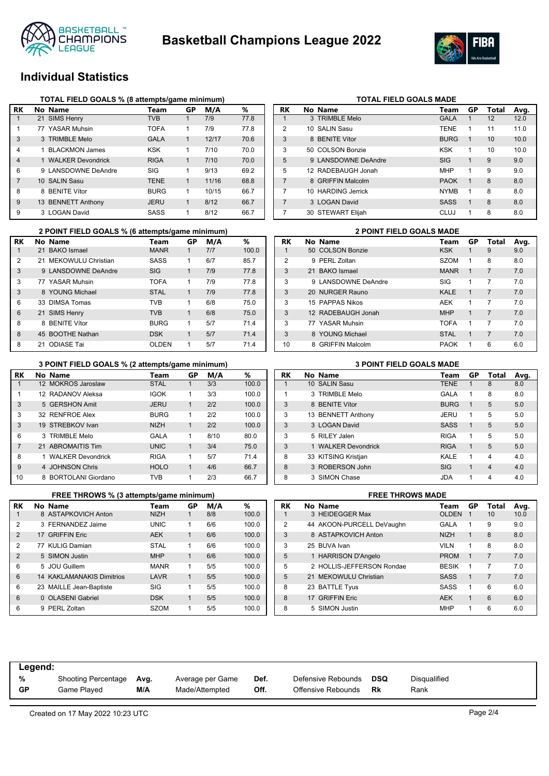



### **Individual Statistics**

|                | TOTAL FIELD GOALS % (8 attempts/game minimum) |             |              |       |      |
|----------------|-----------------------------------------------|-------------|--------------|-------|------|
| RK             | No Name                                       | Team        | GP           | M/A   | ℅    |
|                | 21 SIMS Henry                                 | <b>TVB</b>  |              | 7/9   | 77.8 |
| 1              | 77 YASAR Muhsin                               | <b>TOFA</b> | 1            | 7/9   | 77.8 |
| 3              | 3 TRIMBLE Melo                                | <b>GALA</b> | 1            | 12/17 | 70.6 |
| 4              | 1 BLACKMON James                              | <b>KSK</b>  | 1            | 7/10  | 70.0 |
| $\overline{4}$ | 1 WALKER Devondrick                           | <b>RIGA</b> | $\mathbf{1}$ | 7/10  | 70.0 |
| 6              | 9 LANSDOWNE DeAndre                           | SIG         | 1            | 9/13  | 69.2 |
| 7              | 10 SALIN Sasu                                 | <b>TENE</b> | 1            | 11/16 | 68.8 |
| 8              | 8 BENITE Vítor                                | <b>BURG</b> | 1            | 10/15 | 66.7 |
| 9              | 13 BENNETT Anthony                            | <b>JERU</b> | 1            | 8/12  | 66.7 |
| 9              | 3 LOGAN David                                 | SASS        | 1            | 8/12  | 66.7 |

| RK             | No Name             | Team        | GP | Total | Avg. |
|----------------|---------------------|-------------|----|-------|------|
| 1              | 3 TRIMBLE Melo      | <b>GALA</b> |    | 12    | 12.0 |
| $\overline{2}$ | 10 SALIN Sasu       | <b>TENE</b> | 1  | 11    | 11.0 |
| 3              | 8 BENITE Vítor      | <b>BURG</b> | 1  | 10    | 10.0 |
| 3              | 50 COLSON Bonzie    | <b>KSK</b>  | 1  | 10    | 10.0 |
| 5              | 9 LANSDOWNE DeAndre | <b>SIG</b>  | 1  | 9     | 9.0  |
| 5              | 12 RADEBAUGH Jonah  | <b>MHP</b>  | 1  | 9     | 9.0  |
| $\overline{7}$ | 8 GRIFFIN Malcolm   | <b>PAOK</b> | 1  | 8     | 8.0  |
| 7              | 10 HARDING Jerrick  | <b>NYMB</b> | 1  | 8     | 8.0  |
| $\overline{7}$ | 3 LOGAN David       | <b>SASS</b> | 1  | 8     | 8.0  |
| 7              | 30 STEWART Elijah   | CLUJ        | 1  | 8     | 8.0  |

**TOTAL FIELD GOALS MADE** 

|    |     | 2 POINT FIELD GOALS % (6 attempts/game minimum) |              |           | <b>2 POINT FIELD GOALS MADE</b> |       |                |                     |             |
|----|-----|-------------------------------------------------|--------------|-----------|---------------------------------|-------|----------------|---------------------|-------------|
| RK |     | No Name                                         | Team         | <b>GP</b> | M/A                             | %     | <b>RK</b>      | No Name             | Team        |
|    |     | 21 BAKO Ismael                                  | <b>MANR</b>  |           | 7/7                             | 100.0 |                | 50 COLSON Bonzie    | <b>KSK</b>  |
| 2  |     | 21 MEKOWULU Christian                           | <b>SASS</b>  |           | 6/7                             | 85.7  | $\overline{2}$ | 9 PERL Zoltan       | <b>SZOM</b> |
| 3  |     | 9 LANSDOWNE DeAndre                             | SIG.         |           | 7/9                             | 77.8  | 3              | 21 BAKO Ismael      | <b>MANR</b> |
| 3  |     | 77 YASAR Muhsin                                 | <b>TOFA</b>  |           | 7/9                             | 77.8  | 3              | 9 LANSDOWNE DeAndre | <b>SIG</b>  |
| 3  |     | 8 YOUNG Michael                                 | <b>STAL</b>  |           | 7/9                             | 77.8  | 3              | 20 NURGER Rauno     | KALE        |
| 6  | 33. | DIMSA Tomas                                     | TVB          |           | 6/8                             | 75.0  | 3              | 15 PAPPAS Nikos     | AEK         |
| 6  |     | 21 SIMS Henry                                   | <b>TVB</b>   |           | 6/8                             | 75.0  | 3              | 12 RADEBAUGH Jonah  | <b>MHP</b>  |
| 8  |     | 8 BENITE Vitor                                  | <b>BURG</b>  |           | 5/7                             | 71.4  | 3              | 77 YASAR Muhsin     | <b>TOFA</b> |
| 8  |     | 45 BOOTHE Nathan                                | <b>DSK</b>   |           | 5/7                             | 71.4  | 3              | 8 YOUNG Michael     | <b>STAL</b> |
| 8  | 21  | ODIASE Tai                                      | <b>OLDEN</b> |           | 5/7                             | 71.4  | 10             | 8 GRIFFIN Malcolm   | <b>PAOK</b> |

|               | <b>2 POINT FIELD GOALS MADE</b> |             |              |                |      |
|---------------|---------------------------------|-------------|--------------|----------------|------|
| RK            | No Name                         | Team        | GP           | Total          | Avg. |
| 1             | 50 COLSON Bonzie                | <b>KSK</b>  |              | 9              | 9.0  |
| $\mathcal{P}$ | 9 PERL Zoltan                   | <b>SZOM</b> | 1            | 8              | 8.0  |
| 3             | 21 BAKO Ismael                  | <b>MANR</b> | 1            | $\overline{7}$ | 7.0  |
| 3             | 9 LANSDOWNE DeAndre             | SIG         | 1            | 7              | 7.0  |
| 3             | 20 NURGER Rauno                 | <b>KALE</b> | 1            | $\overline{7}$ | 7.0  |
| 3             | 15 PAPPAS Nikos                 | <b>AEK</b>  | 1            | 7              | 7.0  |
| 3             | 12 RADEBAUGH Jonah              | <b>MHP</b>  | $\mathbf{1}$ | $\overline{7}$ | 7.0  |
| 3             | 77 YASAR Muhsin                 | <b>TOFA</b> | 1            | 7              | 7.0  |
| 3             | 8 YOUNG Michael                 | <b>STAL</b> | 1            | $\overline{7}$ | 7.0  |
| 10            | 8 GRIFFIN Malcolm               | <b>PAOK</b> | 1            | 6              | 6.0  |

|                | 3 POINT FIELD GOALS % (2 attempts/game minimum) |             |    |      |       | <b>3 POINT FIELD GOALS MADE</b> |                     |             |
|----------------|-------------------------------------------------|-------------|----|------|-------|---------------------------------|---------------------|-------------|
| RK             | No Name                                         | Team        | GР | M/A  | %     | <b>RK</b>                       | No Name             | Team        |
|                | 12 MOKROS Jaroslaw                              | <b>STAL</b> |    | 3/3  | 100.0 |                                 | 10 SALIN Sasu       | <b>TENE</b> |
| 1              | 12 RADANOV Aleksa                               | <b>IGOK</b> | 1  | 3/3  | 100.0 |                                 | 3 TRIMBLE Melo      | <b>GALA</b> |
| 3              | 5 GERSHON Amit                                  | <b>JERU</b> | 1  | 2/2  | 100.0 | 3                               | 8 BENITE Vítor      | <b>BURG</b> |
| 3              | 32 RENFROE Alex                                 | <b>BURG</b> | 1  | 2/2  | 100.0 | 3                               | 13 BENNETT Anthony  | <b>JERU</b> |
| 3              | 19 STREBKOV Ivan                                | <b>NIZH</b> | 1  | 2/2  | 100.0 | 3                               | 3 LOGAN David       | <b>SASS</b> |
| 6              | 3 TRIMBLE Melo                                  | <b>GALA</b> | 1  | 8/10 | 80.0  | 3                               | 5 RILEY Jalen       | <b>RIGA</b> |
| $\overline{7}$ | 21 ABROMAITIS Tim                               | <b>UNIC</b> |    | 3/4  | 75.0  | 3                               | 1 WALKER Devondrick | <b>RIGA</b> |
| 8              | 1 WALKER Devondrick                             | <b>RIGA</b> |    | 5/7  | 71.4  | 8                               | 33 KITSING Kristjan | <b>KALE</b> |
| 9              | 4 JOHNSON Chris                                 | <b>HOLO</b> |    | 4/6  | 66.7  | 8                               | 3 ROBERSON John     | <b>SIG</b>  |
| 10             | 8 BORTOLANI Giordano                            | <b>TVB</b>  |    | 2/3  | 66.7  | 8                               | 3 SIMON Chase       | <b>JDA</b>  |

|   | <b>JULINOUN UILID</b> | TIVLY                                                                                                                                                                                                                                         |    | 47 U | UU.1                                           |
|---|-----------------------|-----------------------------------------------------------------------------------------------------------------------------------------------------------------------------------------------------------------------------------------------|----|------|------------------------------------------------|
|   |                       | <b>TVB</b>                                                                                                                                                                                                                                    | 1  | 2/3  | 66.7                                           |
|   |                       |                                                                                                                                                                                                                                               |    |      |                                                |
|   |                       | Team                                                                                                                                                                                                                                          | GP | M/A  | ℅                                              |
|   |                       | <b>NIZH</b>                                                                                                                                                                                                                                   |    | 8/8  | 100.0                                          |
|   |                       | <b>UNIC</b>                                                                                                                                                                                                                                   | 1  | 6/6  | 100.0                                          |
|   |                       | <b>AEK</b>                                                                                                                                                                                                                                    | 1  | 6/6  | 100.0                                          |
|   |                       | <b>STAL</b>                                                                                                                                                                                                                                   | 1  | 6/6  | 100.0                                          |
|   |                       | <b>MHP</b>                                                                                                                                                                                                                                    | 1  | 6/6  | 100.0                                          |
|   |                       | <b>MANR</b>                                                                                                                                                                                                                                   | 1  | 5/5  | 100.0                                          |
|   |                       | LAVR                                                                                                                                                                                                                                          | 1  | 5/5  | 100.0                                          |
|   |                       | <b>SIG</b>                                                                                                                                                                                                                                    | 1  | 5/5  | 100.0                                          |
| 0 |                       | <b>DSK</b>                                                                                                                                                                                                                                    | 1  | 5/5  | 100.0                                          |
|   |                       | 8 BORTOLANI Giordano<br>No Name<br>8 ASTAPKOVICH Anton<br>3 FERNANDEZ Jaime<br>17 GRIFFIN Eric<br>77 KULIG Damian<br>5 SIMON Justin<br>5 JOU Guillem<br><b>14 KAKLAMANAKIS Dimitrios</b><br>23 MAILLE Jean-Baptiste<br><b>OLASENI Gabriel</b> |    |      | <b>FREE THROWS % (3 attempts/game minimum)</b> |

6 9 PERL Zoltan SZOM 1 5/5 100.0

|  |  |  |  | <b>3 POINT FIELD GOALS MADE</b> |  |  |  |  |
|--|--|--|--|---------------------------------|--|--|--|--|
|--|--|--|--|---------------------------------|--|--|--|--|

| RK | No Name             | Team        | GP | Total          | Avg. |
|----|---------------------|-------------|----|----------------|------|
|    | 10 SALIN Sasu       | <b>TENE</b> | 1  | 8              | 8.0  |
| 1  | 3 TRIMBLE Melo      | GALA        | 1  | 8              | 8.0  |
| 3  | 8 BENITE Vítor      | <b>BURG</b> | 1  | 5              | 5.0  |
| 3  | 13 BENNETT Anthony  | JERU        | 1  | 5              | 5.0  |
| 3  | 3 LOGAN David       | <b>SASS</b> | 1  | 5              | 5.0  |
| 3  | 5 RILEY Jalen       | <b>RIGA</b> | 1  | 5              | 5.0  |
| 3  | 1 WALKER Devondrick | <b>RIGA</b> | 1  | 5              | 5.0  |
| 8  | 33 KITSING Kristjan | KALE        | 1  | $\overline{4}$ | 4.0  |
| 8  | 3 ROBERSON John     | <b>SIG</b>  | 1  | $\overline{4}$ | 4.0  |
| 8  | 3 SIMON Chase       | <b>JDA</b>  | 1  | 4              | 4.0  |

|    | <b>FREE THROWS MADE</b> |                           |              |              |                |      |  |
|----|-------------------------|---------------------------|--------------|--------------|----------------|------|--|
| RK |                         | No Name                   | Team         | GP           | Total          | Avg. |  |
|    |                         | 3 HEIDEGGER Max           | <b>OLDEN</b> | 1            | 10             | 10.0 |  |
| 2  |                         | 44 AKOON-PURCELL DeVaughn | GALA         | 1            | 9              | 9.0  |  |
| 3  |                         | 8 ASTAPKOVICH Anton       | <b>NIZH</b>  | 1            | 8              | 8.0  |  |
| 3  |                         | 25 BUVA Ivan              | <b>VILN</b>  | 1            | 8              | 8.0  |  |
| 5  |                         | 1 HARRISON D'Angelo       | <b>PROM</b>  | $\mathbf{1}$ | $\overline{7}$ | 7.0  |  |
| 5  |                         | 2 HOLLIS-JEFFERSON Rondae | <b>BESIK</b> | 1            | 7              | 7.0  |  |
| 5  |                         | 21 MEKOWULU Christian     | SASS         | $\mathbf{1}$ | $\overline{7}$ | 7.0  |  |
| 8  |                         | 23 BATTLE Tyus            | SASS         | 1            | 6              | 6.0  |  |
| 8  |                         | 17 GRIFFIN Eric           | <b>AEK</b>   | 1            | 6              | 6.0  |  |
| 8  |                         | 5 SIMON Justin            | <b>MHP</b>   | 1            | 6              | 6.0  |  |

| Legend:   |                     |      |                  |      |                    |            |              |
|-----------|---------------------|------|------------------|------|--------------------|------------|--------------|
| %         | Shooting Percentage | Avg. | Average per Game | Def. | Defensive Rebounds | <b>DSQ</b> | Disqualified |
| <b>GP</b> | Game Plaved         | M/A  | Made/Attempted   | Off. | Offensive Rebounds | Rk         | Rank         |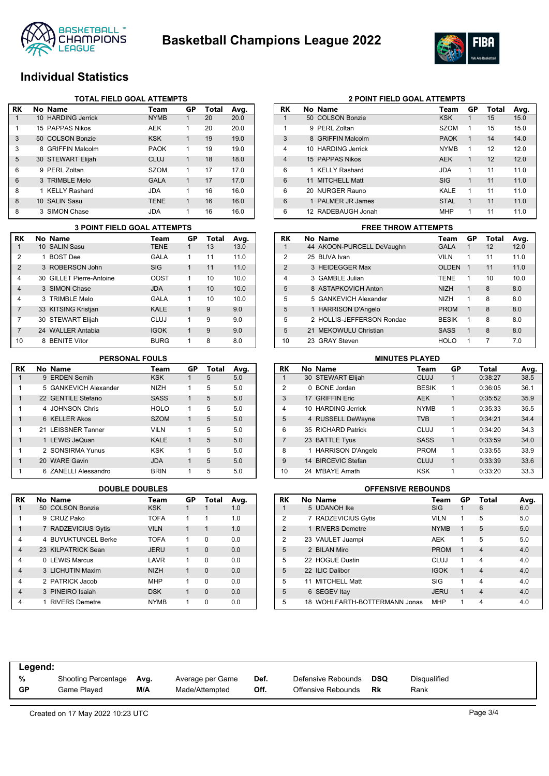



### **Individual Statistics**

|    |   | <b>TOTAL FIELD GOAL ATTEMPTS</b> |             |              |       |      |
|----|---|----------------------------------|-------------|--------------|-------|------|
| RK |   | No Name                          | Team        | GP           | Total | Avg. |
| 1  |   | 10 HARDING Jerrick               | <b>NYMB</b> | 1            | 20    | 20.0 |
| 1  |   | 15 PAPPAS Nikos                  | <b>AEK</b>  | 1            | 20    | 20.0 |
| 3  |   | 50 COLSON Bonzie                 | <b>KSK</b>  | $\mathbf{1}$ | 19    | 19.0 |
| 3  | 8 | <b>GRIFFIN Malcolm</b>           | <b>PAOK</b> | 1            | 19    | 19.0 |
| 5  |   | 30 STEWART Elijah                | CLUJ        | 1            | 18    | 18.0 |
| 6  |   | 9 PERL Zoltan                    | <b>SZOM</b> | 1            | 17    | 17.0 |
| 6  |   | 3 TRIMBLE Melo                   | <b>GALA</b> | $\mathbf{1}$ | 17    | 17.0 |
| 8  |   | 1 KELLY Rashard                  | JDA         | 1            | 16    | 16.0 |
| 8  |   | 10 SALIN Sasu                    | <b>TENE</b> | 1            | 16    | 16.0 |
| 8  |   | 3 SIMON Chase                    | JDA         | 1            | 16    | 16.0 |

|                | <b>3 POINT FIELD GOAL ATTEMPTS</b> |                          |             |    |       |      |
|----------------|------------------------------------|--------------------------|-------------|----|-------|------|
| RK             |                                    | No Name                  | Team        | GP | Total | Avg. |
| 1              |                                    | 10 SALIN Sasu            | <b>TENE</b> |    | 13    | 13.0 |
| 2              |                                    | 1 BOST Dee               | GALA        | 1  | 11    | 11.0 |
| $\mathcal{P}$  |                                    | 3 ROBERSON John          | SIG         | 1  | 11    | 11.0 |
| 4              |                                    | 30 GILLET Pierre-Antoine | <b>OOST</b> | 1  | 10    | 10.0 |
| $\overline{4}$ |                                    | 3 SIMON Chase            | <b>JDA</b>  | 1  | 10    | 10.0 |
| 4              |                                    | 3 TRIMBLE Melo           | GALA        | 1  | 10    | 10.0 |
| $\overline{7}$ |                                    | 33 KITSING Kristjan      | <b>KALE</b> | 1  | 9     | 9.0  |
| 7              |                                    | 30 STEWART Elijah        | CLUJ        | 1  | 9     | 9.0  |
| $\overline{7}$ |                                    | 24 WALLER Antabia        | <b>IGOK</b> | 1  | 9     | 9.0  |
| 10             | 8                                  | <b>BENITE Vítor</b>      | <b>BURG</b> | 1  | 8     | 8.0  |

| RK | No Name               | Team        | GP | Total | Avg. |
|----|-----------------------|-------------|----|-------|------|
| 1  | 9 ERDEN Semih         | <b>KSK</b>  |    | 5     | 5.0  |
| 1  | 5 GANKEVICH Alexander | <b>NIZH</b> | 1  | 5     | 5.0  |
| 1  | 22 GENTILE Stefano    | <b>SASS</b> | 1  | 5     | 5.0  |
| 1  | 4 JOHNSON Chris       | <b>HOLO</b> | 1  | 5     | 5.0  |
| 1  | 6 KELLER Akos         | <b>SZOM</b> | 1  | 5     | 5.0  |
| 1  | 21 LEISSNER Tanner    | <b>VILN</b> | 1  | 5     | 5.0  |
| 1  | 1 LEWIS JeQuan        | <b>KALE</b> | 1  | 5     | 5.0  |
| 1  | 2 SONSIRMA Yunus      | KSK         | 1  | 5     | 5.0  |
| 1  | 20 WARE Gavin         | <b>JDA</b>  | 1  | 5     | 5.0  |
| 1  | 6 ZANELLI Alessandro  | <b>BRIN</b> |    | 5     | 5.0  |

| l RK           | No Name             | Team        | GP | <b>Total</b> | Avg. |
|----------------|---------------------|-------------|----|--------------|------|
| 1              | 50 COLSON Bonzie    | <b>KSK</b>  | 1  |              | 1.0  |
| 1              | 9 CRUZ Pako         | <b>TOFA</b> | 1  | 1            | 1.0  |
| 1              | 7 RADZEVICIUS Gytis | <b>VILN</b> | 1  | $\mathbf 1$  | 1.0  |
| 4              | 4 BUYUKTUNCEL Berke | <b>TOFA</b> | 1  | $\Omega$     | 0.0  |
| $\overline{4}$ | 23 KILPATRICK Sean  | <b>JERU</b> | 1  | $\Omega$     | 0.0  |
| 4              | 0 LEWIS Marcus      | LAVR        | 1  | $\Omega$     | 0.0  |
| $\overline{4}$ | 3 LICHUTIN Maxim    | <b>NIZH</b> | 1  | $\Omega$     | 0.0  |
| 4              | 2 PATRICK Jacob     | <b>MHP</b>  | 1  | $\Omega$     | 0.0  |
| $\overline{4}$ | 3 PINEIRO Isaiah    | <b>DSK</b>  | 1  | $\Omega$     | 0.0  |
| 4              | 1 RIVERS Demetre    | <b>NYMB</b> | 1  | 0            | 0.0  |

| <b>2 POINT FIELD GOAL ATTEMPTS</b> |
|------------------------------------|
|------------------------------------|

| RK             | No Name            | Team        | GP          | Total | Avg. |
|----------------|--------------------|-------------|-------------|-------|------|
| 1              | 50 COLSON Bonzie   | <b>KSK</b>  | 1           | 15    | 15.0 |
| 1              | 9 PERL Zoltan      | <b>SZOM</b> | 1           | 15    | 15.0 |
| 3              | 8 GRIFFIN Malcolm  | <b>PAOK</b> | $\mathbf 1$ | 14    | 14.0 |
| $\overline{4}$ | 10 HARDING Jerrick | <b>NYMB</b> | 1           | 12    | 12.0 |
| $\overline{4}$ | 15 PAPPAS Nikos    | <b>AEK</b>  | 1           | 12    | 12.0 |
| 6              | 1 KELLY Rashard    | <b>JDA</b>  | 1           | 11    | 11.0 |
| 6              | 11 MITCHELL Matt   | <b>SIG</b>  | 1           | 11    | 11.0 |
| 6              | 20 NURGER Rauno    | KALE        | 1           | 11    | 11.0 |
| 6              | 1 PALMER JR James  | <b>STAL</b> | $\mathbf 1$ | 11    | 11.0 |
| 6              | 12 RADEBAUGH Jonah | <b>MHP</b>  | 1           | 11    | 11.0 |

## **3 POINT FIELD GOAL ATTEMPTS FREE THROW ATTEMPTS**

| RK            | No Name                   | Team         | GP          | Total | Avg. |
|---------------|---------------------------|--------------|-------------|-------|------|
| 1             | 44 AKOON-PURCELL DeVaughn | <b>GALA</b>  | 1           | 12    | 12.0 |
| 2             | 25 BUVA Ivan              | <b>VILN</b>  | 1           | 11    | 11.0 |
| $\mathcal{P}$ | 3 HEIDEGGER Max           | <b>OLDEN</b> | $\mathbf 1$ | 11    | 11.0 |
| 4             | 3 GAMBLE Julian           | <b>TENE</b>  | 1           | 10    | 10.0 |
| 5             | 8 ASTAPKOVICH Anton       | <b>NIZH</b>  | 1           | 8     | 8.0  |
| 5             | 5 GANKEVICH Alexander     | <b>NIZH</b>  | 1           | 8     | 8.0  |
| 5             | 1 HARRISON D'Angelo       | <b>PROM</b>  | 1           | 8     | 8.0  |
| 5             | 2 HOLLIS-JEFFERSON Rondae | <b>BESIK</b> | 1           | 8     | 8.0  |
| 5             | 21 MEKOWULU Christian     | <b>SASS</b>  | 1           | 8     | 8.0  |
| 10            | 23 GRAY Steven            | <b>HOLO</b>  | 1           | 7     | 7.0  |

### **PERSONAL FOULS MINUTES PLAYED**

| RK             |   | No Name                  | Team         | GP | Total   | Avg. |
|----------------|---|--------------------------|--------------|----|---------|------|
|                |   | 30 STEWART Elijah        | <b>CLUJ</b>  | 1  | 0:38:27 | 38.5 |
| 2              | 0 | <b>BONE</b> Jordan       | <b>BESIK</b> | 1  | 0:36:05 | 36.1 |
| 3              |   | 17 GRIFFIN Eric          | <b>AEK</b>   | 1  | 0:35:52 | 35.9 |
| 4              |   | 10 HARDING Jerrick       | <b>NYMB</b>  | 1  | 0:35:33 | 35.5 |
| 5              |   | 4 RUSSELL DeWayne        | <b>TVB</b>   | 1  | 0:34:21 | 34.4 |
| 6              |   | 35 RICHARD Patrick       | <b>CLUJ</b>  | 1  | 0:34:20 | 34.3 |
| $\overline{7}$ |   | 23 BATTLE Tyus           | <b>SASS</b>  | 1  | 0:33:59 | 34.0 |
| 8              |   | <b>HARRISON D'Angelo</b> | <b>PROM</b>  | 1  | 0:33:55 | 33.9 |
| 9              |   | 14 BIRCEVIC Stefan       | CLUJ         | 1  | 0:33:39 | 33.6 |
| 10             |   | 24 M'BAYE Amath          | <b>KSK</b>   | 1  | 0:33:20 | 33.3 |

### **DOUBLE DOUBLES OFFENSIVE REBOUNDS**

| RK             | No Name                       | Team        | GP | <b>Total</b>   | Avg. |
|----------------|-------------------------------|-------------|----|----------------|------|
|                | 5 UDANOH Ike                  | <b>SIG</b>  |    | 6              | 6.0  |
| $\overline{2}$ | 7 RADZEVICIUS Gytis           | <b>VILN</b> | 1  | 5              | 5.0  |
| $\overline{2}$ | 1 RIVERS Demetre              | <b>NYMB</b> | 1  | 5              | 5.0  |
| 2              | 23 VAULET Juampi              | AEK         | 1  | 5              | 5.0  |
| 5              | 2 BILAN Miro                  | <b>PROM</b> | 1  | $\overline{4}$ | 4.0  |
| 5              | 22 HOGUE Dustin               | <b>CLUJ</b> | 1  | $\overline{4}$ | 4.0  |
| 5              | 22 ILIC Dalibor               | <b>IGOK</b> | 1  | $\overline{4}$ | 4.0  |
| 5              | 11 MITCHELL Matt              | SIG         | 1  | $\overline{4}$ | 4.0  |
| 5              | 6 SEGEV Itay                  | <b>JERU</b> | 1  | $\overline{4}$ | 4.0  |
| 5              | 18 WOHLFARTH-BOTTERMANN Jonas | <b>MHP</b>  |    | 4              | 4.0  |

| Legend: |                          |     |                  |      |                    |            |                     |
|---------|--------------------------|-----|------------------|------|--------------------|------------|---------------------|
| %       | Shooting Percentage Avg. | M/A | Average per Game | Def. | Defensive Rebounds | <b>DSQ</b> | <b>Disqualified</b> |
| GP      | Game Played              |     | Made/Attempted   | Off. | Offensive Rebounds | Rk         | Rank                |